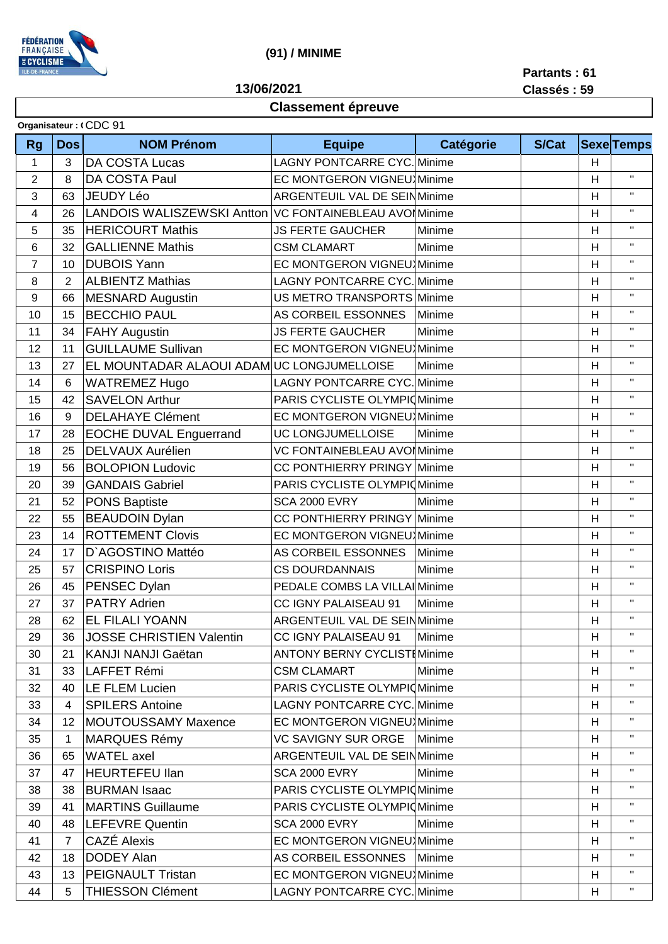

## **(91) / MINIME**

**13/06/2021**

**Partants : 61**

## **Classement épreuve**

|  |  |  | .           |
|--|--|--|-------------|
|  |  |  | Classés: 59 |

| Organisateur: (CDC 91 |                |                                           |                                     |                            |              |                           |                    |  |
|-----------------------|----------------|-------------------------------------------|-------------------------------------|----------------------------|--------------|---------------------------|--------------------|--|
| <b>Rg</b>             | <b>Dos</b>     | <b>NOM Prénom</b>                         | <b>Equipe</b>                       | <b>Catégorie</b>           | <b>S/Cat</b> |                           | <b>Sexe</b> Temps  |  |
| $\mathbf{1}$          | 3              | <b>DA COSTA Lucas</b>                     | <b>LAGNY PONTCARRE CYC. Minime</b>  |                            |              | H                         |                    |  |
| $\overline{2}$        | 8              | DA COSTA Paul                             |                                     | EC MONTGERON VIGNEU Minime |              | H                         | $\mathbf{H}$       |  |
| 3                     | 63             | JEUDY Léo                                 | ARGENTEUIL VAL DE SEIN Minime       |                            |              | H                         | $\mathbf{H}$       |  |
| 4                     | 26             | LANDOIS WALISZEWSKI Antton                | VC FONTAINEBLEAU AVOI Minime        |                            |              | H                         | $\mathbf{H}$       |  |
| 5                     | 35             | <b>HERICOURT Mathis</b>                   | <b>JS FERTE GAUCHER</b>             | Minime                     |              | H                         | $\bar{\mathbf{H}}$ |  |
| 6                     | 32             | <b>GALLIENNE Mathis</b>                   | <b>CSM CLAMART</b>                  | Minime                     |              | H                         | $\mathbf{H}$       |  |
| $\overline{7}$        | 10             | <b>DUBOIS Yann</b>                        | EC MONTGERON VIGNEU Minime          |                            |              | H                         | $\bar{\mathbf{H}}$ |  |
| 8                     | $\overline{2}$ | <b>ALBIENTZ Mathias</b>                   | <b>LAGNY PONTCARRE CYC. Minime</b>  |                            |              | H                         | $\mathbf{H}$       |  |
| 9                     | 66             | <b>MESNARD Augustin</b>                   | US METRO TRANSPORTS Minime          |                            |              | H                         | $\bar{\mathbf{H}}$ |  |
| 10                    | 15             | <b>BECCHIO PAUL</b>                       | AS CORBEIL ESSONNES                 | Minime                     |              | Η                         | $\mathbf{H}$       |  |
| 11                    | 34             | <b>FAHY Augustin</b>                      | <b>JS FERTE GAUCHER</b>             | Minime                     |              | H                         | $\mathbf{H}$       |  |
| 12                    | 11             | <b>GUILLAUME Sullivan</b>                 | EC MONTGERON VIGNEU Minime          |                            |              | H                         | $\mathbf{H}$       |  |
| 13                    | 27             | EL MOUNTADAR ALAOUI ADAMUC LONGJUMELLOISE |                                     | Minime                     |              | H                         | $\mathbf{H}$       |  |
| 14                    | 6              | <b>WATREMEZ Hugo</b>                      | <b>LAGNY PONTCARRE CYC. Minime</b>  |                            |              | H                         | $\mathbf{H}$       |  |
| 15                    | 42             | <b>SAVELON Arthur</b>                     | PARIS CYCLISTE OLYMPIC Minime       |                            |              | H                         | $\mathbf{H}$       |  |
| 16                    | 9              | <b>DELAHAYE Clément</b>                   | EC MONTGERON VIGNEU Minime          |                            |              | H                         | $\mathbf{H}$       |  |
| 17                    | 28             | <b>EOCHE DUVAL Enguerrand</b>             | <b>UC LONGJUMELLOISE</b>            | Minime                     |              | H                         | $\mathbf{H}$       |  |
| 18                    | 25             | DELVAUX Aurélien                          | VC FONTAINEBLEAU AVOI Minime        |                            |              | H                         | $\mathbf{H}$       |  |
| 19                    | 56             | <b>BOLOPION Ludovic</b>                   | CC PONTHIERRY PRINGY Minime         |                            |              | H                         | $\mathbf H$        |  |
| 20                    | 39             | <b>GANDAIS Gabriel</b>                    | PARIS CYCLISTE OLYMPIOMinime        |                            |              | H                         | $\mathbf{H}$       |  |
| 21                    | 52             | <b>PONS Baptiste</b>                      | <b>SCA 2000 EVRY</b>                | Minime                     |              | H                         | $\mathbf{H}$       |  |
| 22                    | 55             | <b>BEAUDOIN Dylan</b>                     | CC PONTHIERRY PRINGY Minime         |                            |              | H                         | $\mathbf{H}$       |  |
| 23                    | 14             | <b>ROTTEMENT Clovis</b>                   | EC MONTGERON VIGNEU Minime          |                            |              | H                         | $\mathbf H$        |  |
| 24                    | 17             | D'AGOSTINO Mattéo                         | AS CORBEIL ESSONNES                 | Minime                     |              | H                         | $\mathbf H$        |  |
| 25                    | 57             | <b>CRISPINO Loris</b>                     | <b>CS DOURDANNAIS</b>               | Minime                     |              | H                         | $\mathbf{H}$       |  |
| 26                    | 45             | PENSEC Dylan                              | PEDALE COMBS LA VILLAI Minime       |                            |              | H                         | $\mathbf{H}$       |  |
| 27                    | 37             | <b>PATRY Adrien</b>                       | CC IGNY PALAISEAU 91                | Minime                     |              | H                         | $\mathbf{H}$       |  |
| 28                    | 62             | <b>EL FILALI YOANN</b>                    | ARGENTEUIL VAL DE SEINMinime        |                            |              | $\boldsymbol{\mathsf{H}}$ | $\mathbf{H}$       |  |
| 29                    | 36             | JOSSE CHRISTIEN Valentin                  | <b>CC IGNY PALAISEAU 91</b>         | Minime                     |              | H                         | $\mathbf{H}$       |  |
| 30                    | 21             | KANJI NANJI Gaëtan                        | <b>ANTONY BERNY CYCLISTI Minime</b> |                            |              | H                         | $\mathbf{H}$       |  |
| 31                    | 33             | LAFFET Rémi                               | <b>CSM CLAMART</b>                  | Minime                     |              | H                         |                    |  |
| 32                    | 40             | LE FLEM Lucien                            | PARIS CYCLISTE OLYMPIO Minime       |                            |              | H                         | $\mathbf{H}$       |  |
| 33                    | 4              | <b>SPILERS Antoine</b>                    | <b>LAGNY PONTCARRE CYC. Minime</b>  |                            |              | н                         |                    |  |
| 34                    | 12             | <b>MOUTOUSSAMY Maxence</b>                | EC MONTGERON VIGNEU Minime          |                            |              | H                         | $\mathbf{H}$       |  |
| 35                    | 1              | <b>MARQUES Rémy</b>                       | <b>VC SAVIGNY SUR ORGE</b>          | Minime                     |              | Н                         | $\mathbf{H}$       |  |
| 36                    | 65             | <b>WATEL</b> axel                         | ARGENTEUIL VAL DE SEINMinime        |                            |              | Н                         | $\pmb{\mathsf{H}}$ |  |
| 37                    | 47             | <b>HEURTEFEU Ilan</b>                     | <b>SCA 2000 EVRY</b>                | Minime                     |              | н                         | $\mathbf{H}$       |  |
| 38                    | 38             | <b>BURMAN Isaac</b>                       | PARIS CYCLISTE OLYMPIO Minime       |                            |              | H                         | $\mathbf{H}$       |  |
| 39                    | 41             | <b>MARTINS Guillaume</b>                  | PARIS CYCLISTE OLYMPIOMinime        |                            |              | H                         | $\mathbf{H}$       |  |
| 40                    | 48             | <b>LEFEVRE Quentin</b>                    | <b>SCA 2000 EVRY</b>                | Minime                     |              | H                         | $\mathbf H$        |  |
| 41                    | 7              | <b>CAZÉ Alexis</b>                        | <b>EC MONTGERON VIGNEU Minime</b>   |                            |              | Н                         | $\mathbf{H}$       |  |
| 42                    | 18             | DODEY Alan                                | AS CORBEIL ESSONNES   Minime        |                            |              | H                         | $\mathbf{H}$       |  |
| 43                    | 13             | <b>PEIGNAULT Tristan</b>                  | EC MONTGERON VIGNEU Minime          |                            |              | H                         | $\mathbf{H}$       |  |
| 44                    | 5              | <b>THIESSON Clément</b>                   | <b>LAGNY PONTCARRE CYC. Minime</b>  |                            |              | H                         | $\mathbf H$        |  |
|                       |                |                                           |                                     |                            |              |                           |                    |  |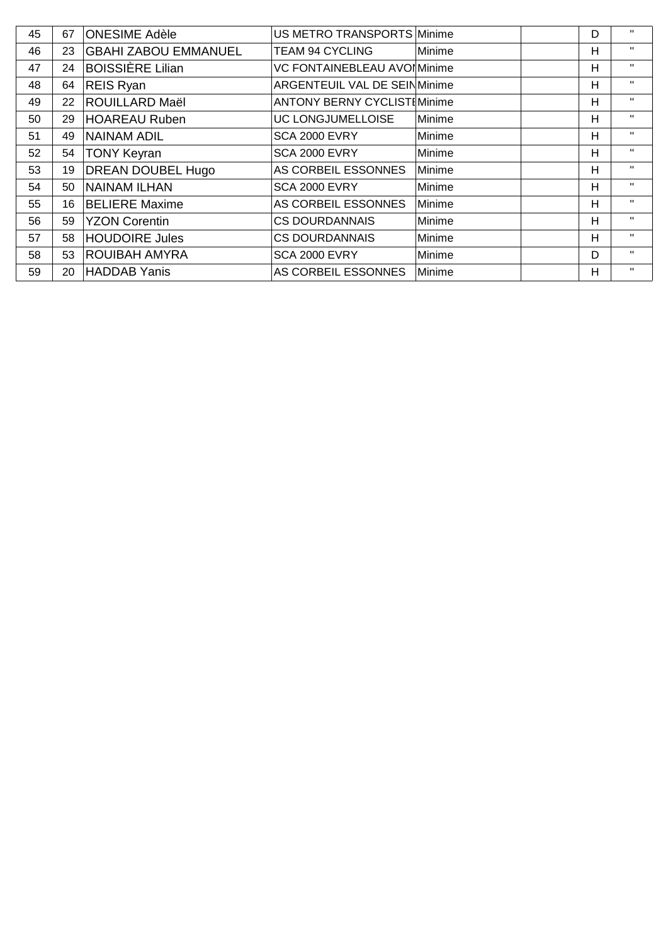| 45 | 67 | <b>ONESIME Adèle</b>        | US METRO TRANSPORTS Minime          |        | D | $\mathbf{H}$ |
|----|----|-----------------------------|-------------------------------------|--------|---|--------------|
| 46 | 23 | <b>GBAHI ZABOU EMMANUEL</b> | <b>TEAM 94 CYCLING</b>              | Minime | н | $\mathbf{H}$ |
| 47 | 24 | <b>BOISSIÈRE Lilian</b>     | VC FONTAINEBLEAU AVOI Minime        |        | Н | $\mathbf{H}$ |
| 48 | 64 | <b>REIS Ryan</b>            | ARGENTEUIL VAL DE SEINMinime        |        | н | $\mathbf{H}$ |
| 49 | 22 | <b>ROUILLARD Maël</b>       | <b>ANTONY BERNY CYCLIST [Minime</b> |        | Н | $\mathbf{H}$ |
| 50 | 29 | HOAREAU Ruben               | UC LONGJUMELLOISE                   | Minime | н | $\mathbf{H}$ |
| 51 | 49 | <b>NAINAM ADIL</b>          | <b>SCA 2000 EVRY</b>                | Minime | Н | $\mathbf{H}$ |
| 52 | 54 | <b>TONY Keyran</b>          | <b>SCA 2000 EVRY</b>                | Minime | Н | $\mathbf{H}$ |
| 53 | 19 | <b>DREAN DOUBEL Hugo</b>    | AS CORBEIL ESSONNES                 | Minime | Н | $\mathbf{H}$ |
| 54 | 50 | <b>NAINAM ILHAN</b>         | <b>SCA 2000 EVRY</b>                | Minime | н | $\mathbf{H}$ |
| 55 | 16 | <b>BELIERE Maxime</b>       | AS CORBEIL ESSONNES                 | Minime | н | $\mathbf{H}$ |
| 56 | 59 | <b>YZON Corentin</b>        | <b>CS DOURDANNAIS</b>               | Minime | н | $\mathbf{H}$ |
| 57 | 58 | <b>HOUDOIRE Jules</b>       | <b>CS DOURDANNAIS</b>               | Minime | Н | $\mathbf{H}$ |
| 58 | 53 | <b>ROUIBAH AMYRA</b>        | <b>SCA 2000 EVRY</b>                | Minime | D | $\mathbf{H}$ |
| 59 | 20 | HADDAB Yanis                | AS CORBEIL ESSONNES                 | Minime | Н | $\mathbf{H}$ |